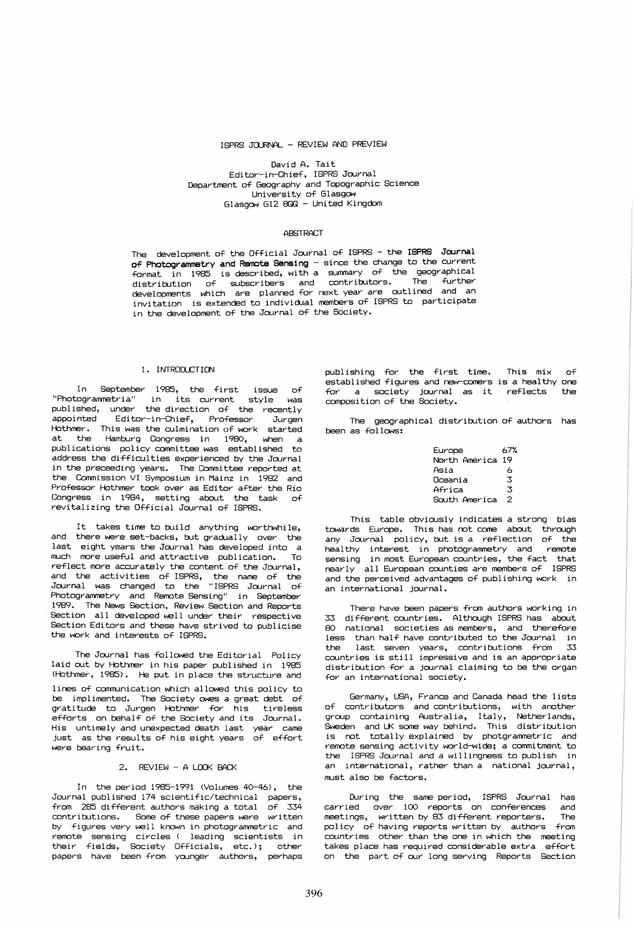### ISPRS JaJRNAL - REVIEW AND PREVIEW

David A. Tait Editor-in-Chief, ISPRS Journal Department of Geography and Topographic Science University of Glasgow Glasgow G12 8QQ - United Kingdom

## **ABSTRACT**

The development of the Official Journal of ISPRS - the ISPRS Journal of Photogrammetry and Remote Sensing - since the change to the current format in 1985 is described, with a summary of the geographical distribution of subscribers and contributors. The further developments which *are* planned ~or next *year are* outlined and an invitation is extended to individual members of ISPRS to participate in the development of the Journal of the Society.

# 1. INTRODlCTION

In September 1985, the first issue of "Photogrammetria" in its current style was published, under the direction of the recently<br>appointed Editor-in-Chief, Professor Jurgen Editor-in-Chief, Professor Jurgen Hothmer. This was the culmination of work started Hamburg Congress in 1980, when a publications policy committee was established to address the difficulties experienced by the Journal in the preceeding years. The Committee reported at the Commission VI Symposium in Mainz in 1982 and Professor Hothmer took over as Editor after the Rio Congress in 1984, setting about the task of revitalizing the Official Journal of ISPRS.

It takes time to build anything worthwhile, and there were set-backs, but gradually over the last eight years the Journal has developed into a much *more* usefUl and attractive publication. To reflect more accurately the content of the Journal, and the activities of ISPRS, the name of the Journal was changed to the "ISPRS Journal of Photogrammetry and Remote Sensing" in September 1989. The News Section, Review Section and Reports Section all developed well under their respective Section Editors and these have strived to publicise the work and interests of ISPRS.

The Journal has fOllowed the Editorial Policy laid out by Hothmer in his paper published in 1985 (Hothmer, 1985). He put in place the structure and lines of communication which allowed this policy to be implimented. The Society owes a great debt of gratitude to Jurgen Hothmer for his tireless efforts on behalf of the Society and its Journal. His untimely and unexpected death last *year* came just as the results of his eight years of effort were bearing fruit.

# 2. REVIEW - A LOOK BACK

In the period 1985-1991 (Volumes 40-46), the Journal published 174 scientific/technical papers, from 285 different authors making a total of 334 contributions. Some of these papers were written by figures very well known in photogrammetric and remote sensing circles ( leading scientists in their fields, Society Officials, etc.); other papers have been *from* younger authors, perhaps

publishing for the first time. This mix of established figures and new-comers is a healthy one<br>for a society igureal as it reflects, the for a society journal as it reflects composition of the Society.

The geographical distribution of authors has been as follows:

| Europe        | 67% |
|---------------|-----|
| North America | 19  |
| Asia          | 6   |
| Oceania       | 3   |
| Africa        | 3   |
| South America | 2   |

This table obviously indicates a strong bias towards Europe. This has not come about through any Journal policy, but is a reflection of the healthy interest in photogrammetry and remote sensing in most European countries, the fact that nearly all European counties *are* members o~ ISPRS and the perceived advantages of publishing work in an international journal.

There have been papers from authors working in 33 different countries. Although ISPRS has about 80 national societies as members, and therefore less  $-$  than half have contributed to the Journal  $-$  in the last seven years, contributions from 33<br>countries is still impressive and is an appropriate distribution for a journal claiming to be the organ for an international society.

Germany, USA, France and Canada head the lists of contributors and contributions, with another group containing Australia, Italy, Netherlands, Sweden and UK some way behind. This distribution is not totally explained by photgrammetric and remote sensing activity world-wide; a commitment to the ISPRS Journal and a willingness to publish in an international, rather than a national journal, must also be factors.

During the same period, ISPRS Journal has carried over 100 reports on conferences and<br>meetings, written\_by\_83\_different\_reporters, The meetings, written by 83 different reporters. The<br>policy of having reports written by authors from policy of having reports written by authors countries other than the one in which the meeting takes place has required considerable extra effort on the part of our long serving Reports Section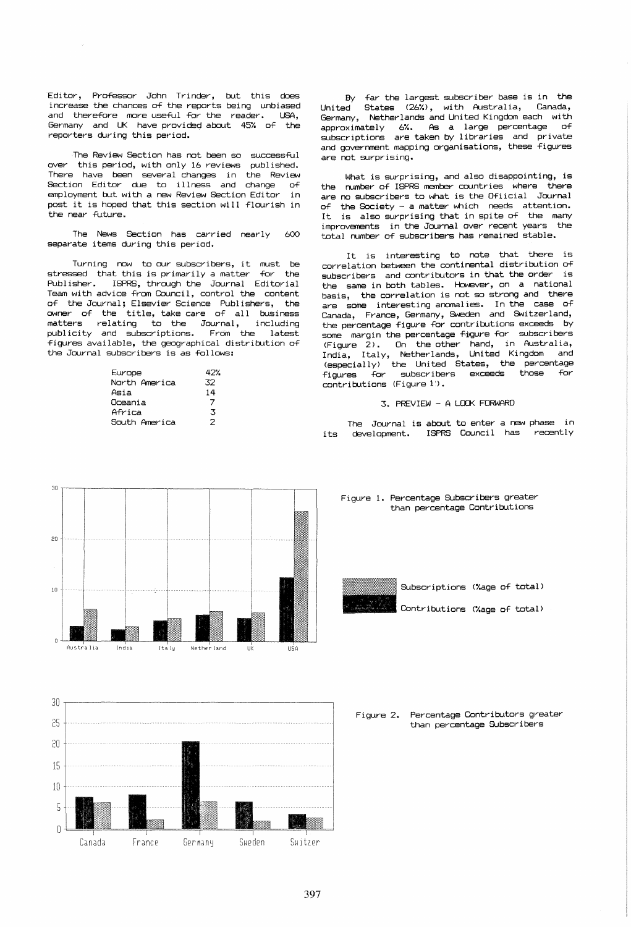Editor, Professor John Trinder, but this does increase the chances of the reports being unbiased and therefore more useful for the reader. USA. Germany and UK have provided about 45% of the reporters during this period.

The Review Section has not been so successful over this period, with only 16 reviews published. There have been several changes in the Review Section Editor due to illness and change of employment but with a new Review Section Editor in post it is hoped that this section will flourish in the near future.

The News Section has carried nearly  $600$ separate items during this period.

Turning now to our subscribers, it must be stressed that this is primarily a matter for the Publisher. ISPRS, through the Journal Editorial Team with advice from Council, control the content of the Journal; Elsevier Science Publishers, the owner of the title, take care of all business matters relating to the Journal, including<br>publicity and subscriptions. From the latest figures available, the geographical distribution of the Journal subscribers is as follows:

| Europe        | 427 |
|---------------|-----|
| North America | 32  |
| Asia          | 14  |
| Oceania       | 7   |
| Africa        | 3   |
| South America | 2   |

By far the largest subscriber base is in the States (26%), with Australia, Canada. **United** Germany, Netherlands and United Kingdom each with approximately 6%. As a large percentage  $\alpha$ f subscriptions are taken by libraries and private and government mapping organisations, these figures are not surprising.

What is surprising, and also disappointing, is the number of ISPRS member countries where there are no subscribers to what is the Ofiicial Journal of the Society - a matter which needs attention.<br>It is also surprising that in spite of the many improvements in the Journal over recent years the total number of subscribers has remained stable.

It is interesting to note that there is correlation between the continental distribution of subscribers and contributors in that the order is the same in both tables. However, on a national basis, the correlation is not so strong and there are some interesting anomalies. In the case of Canada, France, Germany, Sweden and Switzerland, the percentage figure for contributions exceeds by some margin the percentage figure for subscribers (Figure 2). On the other hand, in Australia,<br>India, Italy, Netherlands, United Kingdom and (especially) the United States, the percentage<br>figures for subscribers exceeds those for contributions (Figure 1).

# 3. PREVIEW - A LOOK FORWARD

The Journal is about to enter a new phase in development. ISPRS Council has recently its



#### Figure 1. Percentage Subscribers greater than percentage Contributions

Subscriptions (%age of total)

Contributions (%age of total)



Percentage Contributors greater Figure 2. than percentage Subscribers